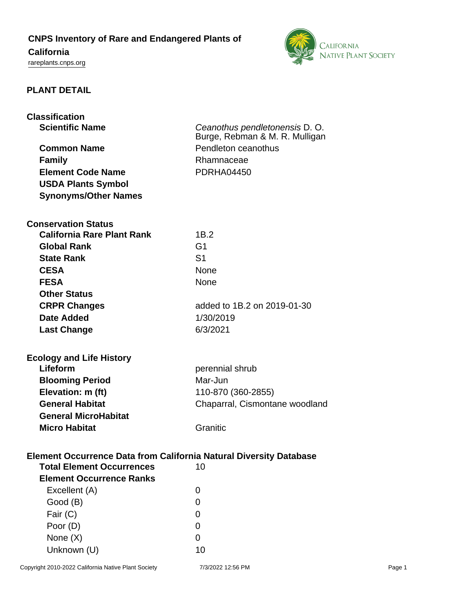## **CNPS Inventory of Rare and Endangered Plants of**

# **California**

<rareplants.cnps.org>



## **PLANT DETAIL**

| <b>Classification</b><br><b>Scientific Name</b><br><b>Common Name</b><br><b>Family</b><br><b>Element Code Name</b><br><b>USDA Plants Symbol</b><br><b>Synonyms/Other Names</b> | Ceanothus pendletonensis D. O.<br>Burge, Rebman & M. R. Mulligan<br>Pendleton ceanothus<br>Rhamnaceae<br><b>PDRHA04450</b> |  |  |
|--------------------------------------------------------------------------------------------------------------------------------------------------------------------------------|----------------------------------------------------------------------------------------------------------------------------|--|--|
| <b>Conservation Status</b>                                                                                                                                                     |                                                                                                                            |  |  |
| <b>California Rare Plant Rank</b>                                                                                                                                              | 1B.2                                                                                                                       |  |  |
| <b>Global Rank</b>                                                                                                                                                             | G <sub>1</sub>                                                                                                             |  |  |
| <b>State Rank</b>                                                                                                                                                              | S <sub>1</sub>                                                                                                             |  |  |
| <b>CESA</b>                                                                                                                                                                    | None                                                                                                                       |  |  |
| <b>FESA</b>                                                                                                                                                                    | None                                                                                                                       |  |  |
| <b>Other Status</b>                                                                                                                                                            |                                                                                                                            |  |  |
| <b>CRPR Changes</b>                                                                                                                                                            | added to 1B.2 on 2019-01-30                                                                                                |  |  |
| Date Added                                                                                                                                                                     | 1/30/2019                                                                                                                  |  |  |
| <b>Last Change</b>                                                                                                                                                             | 6/3/2021                                                                                                                   |  |  |
| <b>Ecology and Life History</b><br>Lifeform<br><b>Blooming Period</b><br>Elevation: m (ft)<br><b>General Habitat</b><br><b>General MicroHabitat</b>                            | perennial shrub<br>Mar-Jun<br>110-870 (360-2855)<br>Chaparral, Cismontane woodland                                         |  |  |
| <b>Micro Habitat</b>                                                                                                                                                           | Granitic                                                                                                                   |  |  |
| <b>Element Occurrence Data from California Natural Diversity Database</b><br><b>Total Element Occurrences</b><br>10<br><b>Element Occurrence Ranks</b>                         |                                                                                                                            |  |  |
| Excellent (A)                                                                                                                                                                  | 0                                                                                                                          |  |  |
| Good (B)                                                                                                                                                                       | 0                                                                                                                          |  |  |
| Fair (C)                                                                                                                                                                       | 0                                                                                                                          |  |  |
| Poor (D)                                                                                                                                                                       | 0                                                                                                                          |  |  |
| None $(X)$                                                                                                                                                                     | 0                                                                                                                          |  |  |
| Unknown (U)                                                                                                                                                                    | 10                                                                                                                         |  |  |